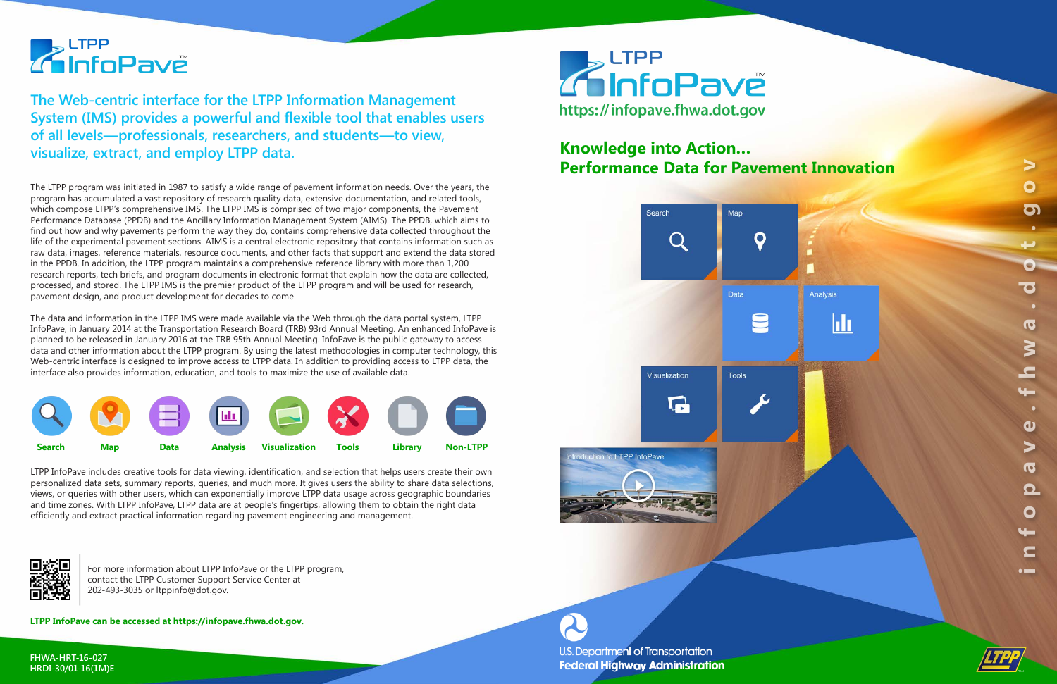The LTPP program was initiated in 1987 to satisfy a wide range of pavement information needs. Over the years, the program has accumulated a vast repository of research quality data, extensive documentation, and related tools, which compose LTPP's comprehensive IMS. The LTPP IMS is comprised of two major components, the Pavement Performance Database (PPDB) and the Ancillary Information Management System (AIMS). The PPDB, which aims to find out how and why pavements perform the way they do, contains comprehensive data collected throughout the life of the experimental pavement sections. AIMS is a central electronic repository that contains information such as raw data, images, reference materials, resource documents, and other facts that support and extend the data stored in the PPDB. In addition, the LTPP program maintains a comprehensive reference library with more than 1,200 research reports, tech briefs, and program documents in electronic format that explain how the data are collected, processed, and stored. The LTPP IMS is the premier product of the LTPP program and will be used for research, pavement design, and product development for decades to come.



The data and information in the LTPP IMS were made available via the Web through the data portal system, LTPP InfoPave, in January 2014 at the Transportation Research Board (TRB) 93rd Annual Meeting. An enhanced InfoPave is planned to be released in January 2016 at the TRB 95th Annual Meeting. InfoPave is the public gateway to access data and other information about the LTPP program. By using the latest methodologies in computer technology, this Web-centric interface is designed to improve access to LTPP data. In addition to providing access to LTPP data, the interface also provides information, education, and tools to maximize the use of available data.

# **Z** LTPP<br>**Z InfoPavě**

**The Web-centric interface for the LTPP Information Management System (IMS) provides a powerful and flexible tool that enables users of all levels—professionals, researchers, and students—to view, visualize, extract, and employ LTPP data.**

LTPP InfoPave includes creative tools for data viewing, identification, and selection that helps users create their own personalized data sets, summary reports, queries, and much more. It gives users the ability to share data selections, views, or queries with other users, which can exponentially improve LTPP data usage across geographic boundaries and time zones. With LTPP InfoPave, LTPP data are at people's fingertips, allowing them to obtain the right data efficiently and extract practical information regarding pavement engineering and management.



### **Knowledge into Action… Performance Data for Pavement Innovation**





U.S. Department of Transportation **Federal Highway Administration** 

For more information about LTPP InfoPave or the LTPP program, contact the LTPP Customer Support Service Center at 202-493-3035 or ltppinfo@dot.gov.

**LTPP InfoPave can be accessed at https://infopave.fhwa.dot.gov.**



**FHWA-HRT-16-027 HRDI-30/01-16(1M)E**